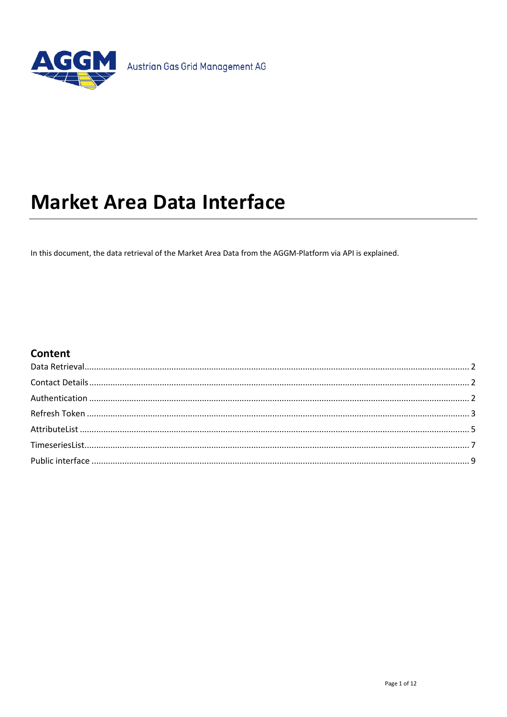

# **Market Area Data Interface**

In this document, the data retrieval of the Market Area Data from the AGGM-Platform via API is explained.

#### **Content**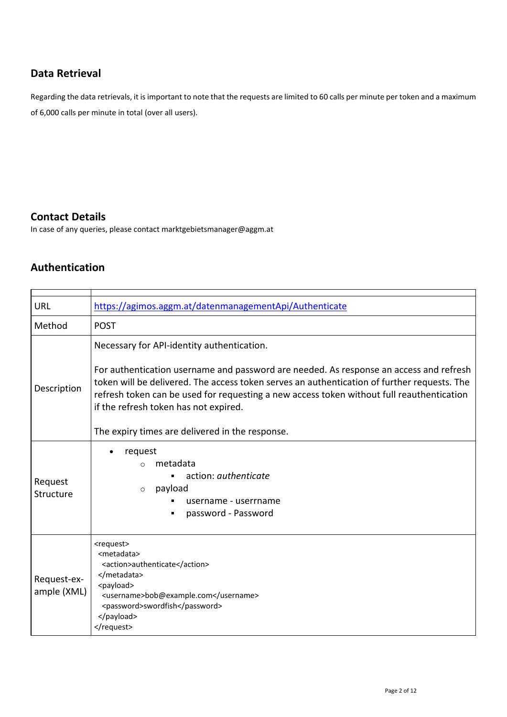#### <span id="page-1-0"></span>**Data Retrieval**

Regarding the data retrievals, it is important to note that the requests are limited to 60 calls per minute per token and a maximum of 6,000 calls per minute in total (over all users).

#### <span id="page-1-1"></span>**Contact Details**

<span id="page-1-2"></span>In case of any queries, please contact marktgebietsmanager@aggm.at

## **Authentication**

 $\mathbf{r}$ 

| <b>URL</b>                 | https://agimos.aggm.at/datenmanagementApi/Authenticate                                                                                                                                                                                                                                                                                                                                                                       |
|----------------------------|------------------------------------------------------------------------------------------------------------------------------------------------------------------------------------------------------------------------------------------------------------------------------------------------------------------------------------------------------------------------------------------------------------------------------|
| Method                     | <b>POST</b>                                                                                                                                                                                                                                                                                                                                                                                                                  |
| Description                | Necessary for API-identity authentication.<br>For authentication username and password are needed. As response an access and refresh<br>token will be delivered. The access token serves an authentication of further requests. The<br>refresh token can be used for requesting a new access token without full reauthentication<br>if the refresh token has not expired.<br>The expiry times are delivered in the response. |
| Request<br>Structure       | request<br>metadata<br>$\Omega$<br>action: <i>authenticate</i><br>payload<br>$\circ$<br>username - userrname<br>password - Password                                                                                                                                                                                                                                                                                          |
| Request-ex-<br>ample (XML) | <request><br/><metadata><br/><action>authenticate</action><br/></metadata><br/><payload><br/><username>bob@example.com</username><br/><password>swordfish</password><br/></payload><br/></request>                                                                                                                                                                                                                           |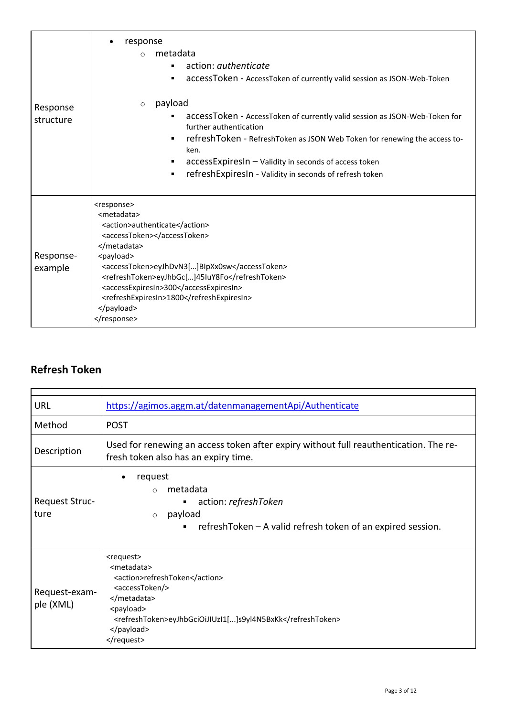| Response<br>structure | response<br>metadata<br>$\bigcap$<br>action: <i>authenticate</i><br>accessToken - AccessToken of currently valid session as JSON-Web-Token<br>٠                                                                                                                                                                                                        |
|-----------------------|--------------------------------------------------------------------------------------------------------------------------------------------------------------------------------------------------------------------------------------------------------------------------------------------------------------------------------------------------------|
|                       | payload<br>$\circ$<br>accessToken - AccessToken of currently valid session as JSON-Web-Token for<br>further authentication<br>refreshToken - RefreshToken as JSON Web Token for renewing the access to-<br>ken.<br>accessExpiresIn - Validity in seconds of access token<br>٠<br>refreshExpiresIn - Validity in seconds of refresh token<br>٠          |
| Response-<br>example  | <response><br/><metadata><br/><action>authenticate</action><br/><accesstoken></accesstoken><br/></metadata><br/><payload><br/><accesstoken>eyJhDvN3[]BlpXx0sw</accesstoken><br/><refreshtoken>eyJhbGc[]45IuY8Fo</refreshtoken><br/><accessexpiresin>300</accessexpiresin><br/><refreshexpiresin>1800</refreshexpiresin><br/></payload><br/></response> |

## <span id="page-2-0"></span>**Refresh Token**

| <b>URL</b>                    | https://agimos.aggm.at/datenmanagementApi/Authenticate                                                                                                                                                                |
|-------------------------------|-----------------------------------------------------------------------------------------------------------------------------------------------------------------------------------------------------------------------|
| Method                        | <b>POST</b>                                                                                                                                                                                                           |
| Description                   | Used for renewing an access token after expiry without full reauthentication. The re-<br>fresh token also has an expiry time.                                                                                         |
| <b>Request Struc-</b><br>ture | request<br>٠<br>metadata<br>$\Omega$<br>action: refreshToken<br>п<br>payload<br>$\circ$<br>refreshToken – A valid refresh token of an expired session.                                                                |
| Request-exam-<br>ple (XML)    | <request><br/><metadata><br/><action>refreshToken</action><br/><accesstoken></accesstoken><br/></metadata><br/><payload><br/><refreshtoken>eyJhbGciOiJIUzI1[]s9yI4N5BxKk</refreshtoken><br/></payload><br/></request> |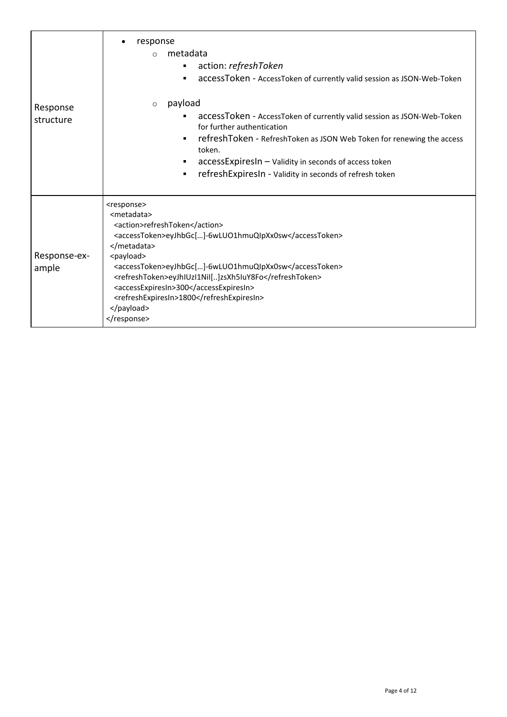| Response<br>structure | response<br>metadata<br>$\Omega$<br>action: refreshToken<br>accessToken - AccessToken of currently valid session as JSON-Web-Token                                                                                                                                                                                                                                                                 |
|-----------------------|----------------------------------------------------------------------------------------------------------------------------------------------------------------------------------------------------------------------------------------------------------------------------------------------------------------------------------------------------------------------------------------------------|
|                       | payload<br>$\circ$<br>accessToken - AccessToken of currently valid session as JSON-Web-Token<br>for further authentication<br>refreshToken - RefreshToken as JSON Web Token for renewing the access<br>token.<br>accessExpiresIn - Validity in seconds of access token<br>refreshExpiresIn - Validity in seconds of refresh token<br>٠                                                             |
| Response-ex-<br>ample | <response><br/><metadata><br/><action>refreshToken</action><br/><accesstoken>eyJhbGc[]-6wLUO1hmuQIpXx0sw</accesstoken><br/></metadata><br/><payload><br/><accesstoken>eyJhbGc[]-6wLUO1hmuQIpXx0sw</accesstoken><br/><refreshtoken>eyJhIUzI1NiI[]zsXh5IuY8Fo</refreshtoken><br/><accessexpiresin>300</accessexpiresin><br/><refreshexpiresin>1800</refreshexpiresin><br/></payload><br/></response> |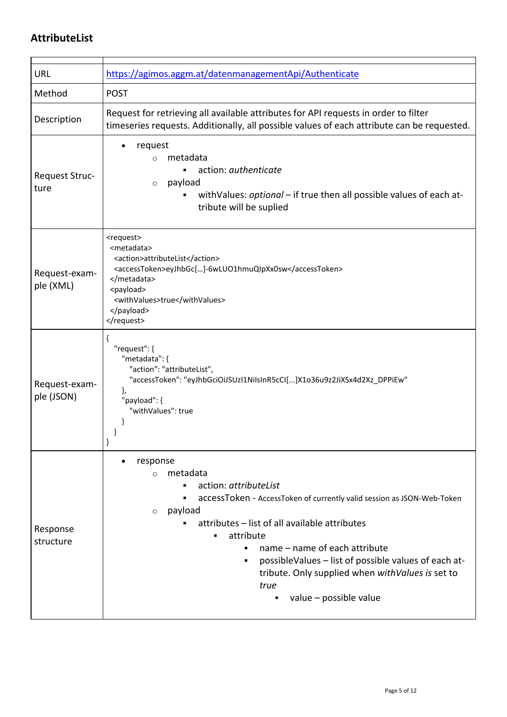### <span id="page-4-0"></span>**AttributeList**

| <b>URL</b>                  | https://agimos.aggm.at/datenmanagementApi/Authenticate                                                                                                                                                                                                                                                                                                                                                                                   |
|-----------------------------|------------------------------------------------------------------------------------------------------------------------------------------------------------------------------------------------------------------------------------------------------------------------------------------------------------------------------------------------------------------------------------------------------------------------------------------|
| Method                      | <b>POST</b>                                                                                                                                                                                                                                                                                                                                                                                                                              |
| Description                 | Request for retrieving all available attributes for API requests in order to filter<br>timeseries requests. Additionally, all possible values of each attribute can be requested.                                                                                                                                                                                                                                                        |
| Request Struc-<br>ture      | request<br>metadata<br>$\circ$<br>action: authenticate<br>payload<br>$\circ$<br>with Values: optional – if true then all possible values of each at-<br>tribute will be suplied                                                                                                                                                                                                                                                          |
| Request-exam-<br>ple (XML)  | <request><br/><metadata><br/><action>attributeList</action><br/><accesstoken>eyJhbGc[]-6wLUO1hmuQIpXx0sw</accesstoken><br/></metadata><br/><payload><br/><withvalues>true</withvalues><br/></payload><br/></request>                                                                                                                                                                                                                     |
| Request-exam-<br>ple (JSON) | "request": {<br>"metadata": {<br>"action": "attributeList",<br>"accessToken": "eyJhbGciOiJSUzI1NiIsInR5cCI[]X1o36u9z2JiXSx4d2Xz_DPPiEw"<br>},<br>"payload": {<br>"withValues": true                                                                                                                                                                                                                                                      |
| Response<br>structure       | response<br>metadata<br>$\Omega$<br>action: attributeList<br>accessToken - AccessToken of currently valid session as JSON-Web-Token<br>payload<br>$\circ$<br>attributes - list of all available attributes<br>attribute<br>$\blacksquare$<br>name - name of each attribute<br>٠<br>possibleValues - list of possible values of each at-<br>٠<br>tribute. Only supplied when with Values is set to<br>true<br>value – possible value<br>٠ |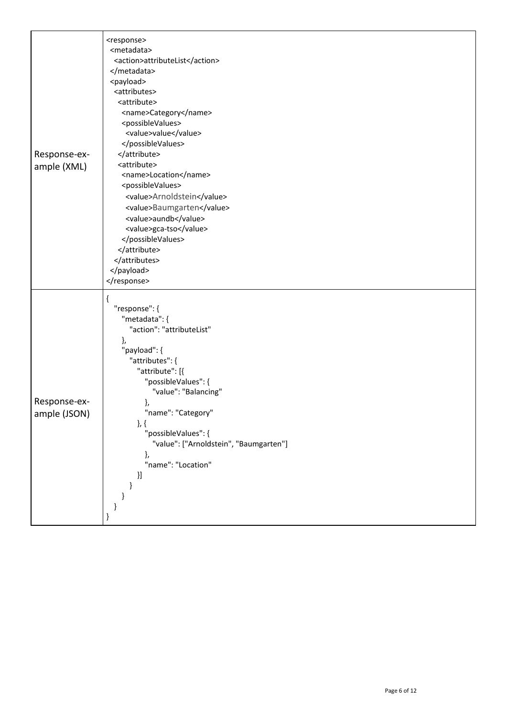| Response-ex-<br>ample (XML)  | <response><br/><metadata><br/><action>attributeList</action><br/></metadata><br/><payload><br/><attributes><br/><attribute><br/><name>Category</name><br/><possiblevalues><br/><value>value</value><br/></possiblevalues><br/></attribute><br/><attribute><br/><name>Location</name><br/><possiblevalues><br/><value>Arnoldstein</value><br/><value>Baumgarten</value><br/><value>aundb</value><br/><value>gca-tso</value><br/></possiblevalues><br/></attribute><br/></attributes><br/></payload><br/></response> |
|------------------------------|--------------------------------------------------------------------------------------------------------------------------------------------------------------------------------------------------------------------------------------------------------------------------------------------------------------------------------------------------------------------------------------------------------------------------------------------------------------------------------------------------------------------|
| Response-ex-<br>ample (JSON) | "response": {<br>"metadata": {<br>"action": "attributeList"<br>},<br>"payload": {<br>"attributes": {<br>"attribute": [{<br>"possibleValues": {<br>"value": "Balancing"<br>},<br>"name": "Category"<br>$\},\{$<br>"possibleValues": {<br>"value": ["Arnoldstein", "Baumgarten"]<br>},<br>"name": "Location"<br>$\left.\rule{0pt}{2.5pt}\right\} \hspace{0.25pt}\left.\rule{0pt}{2.5pt}\right\}$                                                                                                                     |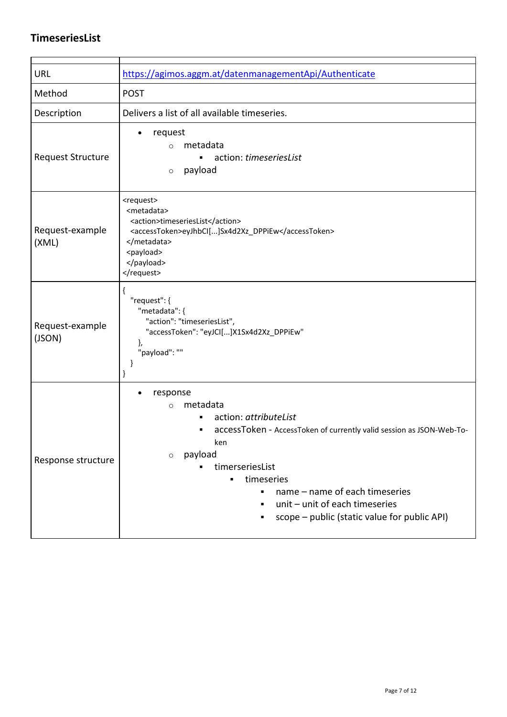### <span id="page-6-0"></span>**TimeseriesList**

| <b>URL</b>                | https://agimos.aggm.at/datenmanagementApi/Authenticate                                                                                                                                                                                                                                                                               |
|---------------------------|--------------------------------------------------------------------------------------------------------------------------------------------------------------------------------------------------------------------------------------------------------------------------------------------------------------------------------------|
| Method                    | <b>POST</b>                                                                                                                                                                                                                                                                                                                          |
| Description               | Delivers a list of all available timeseries.                                                                                                                                                                                                                                                                                         |
| <b>Request Structure</b>  | request<br>$\bullet$<br>metadata<br>$\Omega$<br>action: timeseriesList<br>payload<br>$\circ$                                                                                                                                                                                                                                         |
| Request-example<br>(XML)  | <request><br/><metadata><br/><action>timeseriesList</action><br/><accesstoken>eyJhbCI[]Sx4d2Xz_DPPiEw</accesstoken><br/></metadata><br/><payload><br/></payload><br/></request>                                                                                                                                                      |
| Request-example<br>(JSON) | ₹<br>"request": {<br>"metadata": {<br>"action": "timeseriesList",<br>"accessToken": "eyJCI[]X1Sx4d2Xz_DPPiEw"<br>},<br>"payload": ""<br>}<br>}                                                                                                                                                                                       |
| Response structure        | response<br>$\bullet$<br>metadata<br>$\circ$<br>action: attributeList<br>accessToken - AccessToken of currently valid session as JSON-Web-To-<br>٠<br>ken<br>payload<br>$\circ$<br>timerseriesList<br>timeseries<br>name - name of each timeseries<br>unit - unit of each timeseries<br>scope - public (static value for public API) |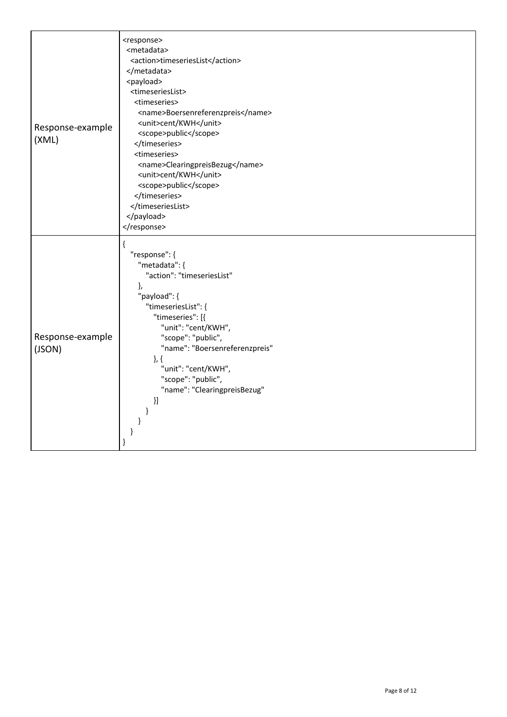| Response-example<br>(XML)  | <response><br/><metadata><br/><action>timeseriesList</action><br/></metadata><br/><payload><br/><timeserieslist><br/><timeseries><br/><name>Boersenreferenzpreis</name><br/><unit>cent/KWH</unit><br/><scope>public</scope><br/></timeseries><br/><timeseries><br/><name>ClearingpreisBezug</name><br/><unit>cent/KWH</unit><br/><scope>public</scope><br/></timeseries><br/></timeserieslist><br/></payload><br/></response> |
|----------------------------|-------------------------------------------------------------------------------------------------------------------------------------------------------------------------------------------------------------------------------------------------------------------------------------------------------------------------------------------------------------------------------------------------------------------------------|
| Response-example<br>(JSON) | $\mathcal{L}$<br>"response": {<br>"metadata": {<br>"action": "timeseriesList"<br>},<br>"payload": {<br>"timeseriesList": {<br>"timeseries": [{<br>"unit": "cent/KWH",<br>"scope": "public",<br>"name": "Boersenreferenzpreis"<br>$\},\{$<br>"unit": "cent/KWH",<br>"scope": "public",<br>"name": "ClearingpreisBezug"<br>}]                                                                                                   |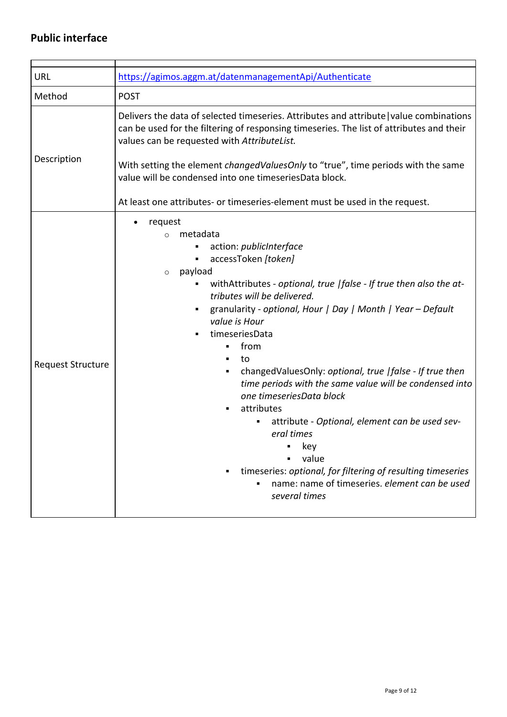### <span id="page-8-0"></span>**Public interface**

| URL                      | https://agimos.aggm.at/datenmanagementApi/Authenticate                                                                                                                                                                                                                                                                                                                                                                                                                                                                                                                                                                                                                                                                                               |
|--------------------------|------------------------------------------------------------------------------------------------------------------------------------------------------------------------------------------------------------------------------------------------------------------------------------------------------------------------------------------------------------------------------------------------------------------------------------------------------------------------------------------------------------------------------------------------------------------------------------------------------------------------------------------------------------------------------------------------------------------------------------------------------|
| Method                   | <b>POST</b>                                                                                                                                                                                                                                                                                                                                                                                                                                                                                                                                                                                                                                                                                                                                          |
| Description              | Delivers the data of selected timeseries. Attributes and attribute value combinations<br>can be used for the filtering of responsing timeseries. The list of attributes and their<br>values can be requested with AttributeList.<br>With setting the element <i>changedValuesOnly</i> to "true", time periods with the same<br>value will be condensed into one timeseriesData block.<br>At least one attributes- or timeseries-element must be used in the request.                                                                                                                                                                                                                                                                                 |
| <b>Request Structure</b> | request<br>metadata<br>$\circ$<br>action: publicInterface<br>accessToken [token]<br>٠<br>payload<br>$\circ$<br>withAttributes - optional, true   false - If true then also the at-<br>٠<br>tributes will be delivered.<br>granularity - optional, Hour   Day   Month   Year - Default<br>value is Hour<br>timeseriesData<br>from<br>$\blacksquare$<br>to<br>changedValuesOnly: optional, true   false - If true then<br>٠<br>time periods with the same value will be condensed into<br>one timeseriesData block<br>attributes<br>attribute - Optional, element can be used sev-<br>eral times<br>key<br>value<br>timeseries: optional, for filtering of resulting timeseries<br>name: name of timeseries. element can be used<br>٠<br>several times |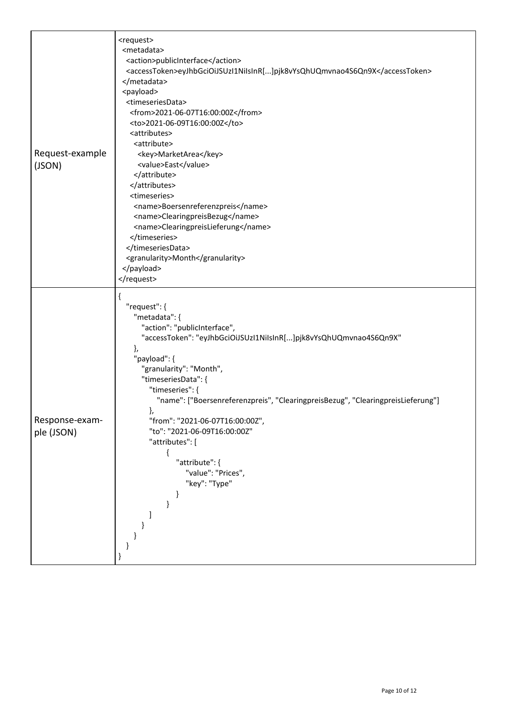| Request-example<br>(JSON)    | <request><br/><metadata><br/><action>publicInterface</action><br/><accesstoken>eyJhbGciOiJSUzI1NiIsInR[]pjk8vYsQhUQmvnao4S6Qn9X</accesstoken><br/></metadata><br/><payload><br/><timeseriesdata><br/><from>2021-06-07T16:00:00Z</from><br/><to>2021-06-09T16:00:00Z</to><br/><attributes><br/><attribute><br/><key>MarketArea</key><br/><value>East</value><br/></attribute><br/></attributes><br/><timeseries><br/><name>Boersenreferenzpreis</name><br/><name>ClearingpreisBezug</name><br/><name>ClearingpreisLieferung</name><br/></timeseries><br/></timeseriesdata><br/><granularity>Month</granularity><br/></payload><br/></request> |
|------------------------------|----------------------------------------------------------------------------------------------------------------------------------------------------------------------------------------------------------------------------------------------------------------------------------------------------------------------------------------------------------------------------------------------------------------------------------------------------------------------------------------------------------------------------------------------------------------------------------------------------------------------------------------------|
| Response-exam-<br>ple (JSON) | ί<br>"request": {<br>"metadata": {<br>"action": "publicInterface",<br>"accessToken": "eyJhbGciOiJSUzI1NiIsInR[]pjk8vYsQhUQmvnao4S6Qn9X"<br>},<br>"payload": {<br>"granularity": "Month",<br>"timeseriesData": {<br>"timeseries": {<br>"name": ["Boersenreferenzpreis", "ClearingpreisBezug", "ClearingpreisLieferung"]<br>Ι.<br>"from": "2021-06-07T16:00:00Z",<br>"to": "2021-06-09T16:00:00Z"<br>"attributes": [<br>₹<br>"attribute": {<br>"value": "Prices",<br>"key": "Type"<br>}<br>ł                                                                                                                                                   |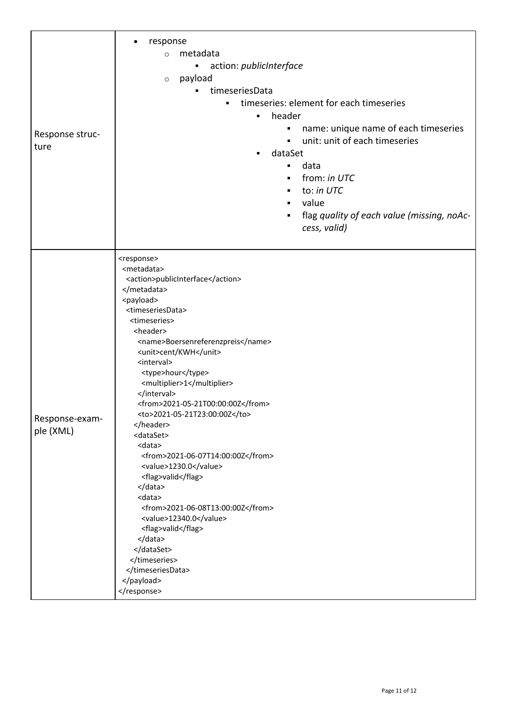|                 | response                                        |
|-----------------|-------------------------------------------------|
|                 | metadata<br>$\circ$                             |
|                 | action: publicInterface<br>٠                    |
|                 |                                                 |
|                 | payload<br>$\circ$                              |
|                 | timeseriesData<br>٠                             |
|                 | timeseries: element for each timeseries<br>٠    |
|                 | header<br>٠                                     |
|                 | name: unique name of each timeseries            |
| Response struc- | unit: unit of each timeseries<br>$\blacksquare$ |
| ture            | dataSet                                         |
|                 | data<br>٠                                       |
|                 | from: in UTC<br>٠                               |
|                 | to: in UTC<br>٠                                 |
|                 | value<br>$\blacksquare$                         |
|                 |                                                 |
|                 | flag quality of each value (missing, noAc-<br>٠ |
|                 | cess, valid)                                    |
|                 |                                                 |
|                 | <response></response>                           |
|                 | <metadata></metadata>                           |
|                 | <action>publicInterface</action>                |
|                 |                                                 |
|                 | <payload></payload>                             |
|                 | <timeseriesdata></timeseriesdata>               |
|                 | <timeseries></timeseries>                       |
|                 | <header></header>                               |
|                 | <name>Boersenreferenzpreis</name>               |
|                 | <unit>cent/KWH</unit><br><interval></interval>  |
|                 | <type>hour</type>                               |
|                 | <multiplier>1</multiplier>                      |
|                 |                                                 |
|                 | <from>2021-05-21T00:00:00Z</from>               |
| Response-exam-  | <to>2021-05-21T23:00:00Z</to>                   |
| ple (XML)       |                                                 |
|                 | <dataset></dataset>                             |
|                 | <data></data>                                   |
|                 | <from>2021-06-07T14:00:00Z</from>               |
|                 | <value>1230.0</value>                           |
|                 | <flag>valid</flag><br>                          |
|                 | <data></data>                                   |
|                 | <from>2021-06-08T13:00:00Z</from>               |
|                 | <value>12340.0</value>                          |
|                 | <flag>valid</flag>                              |
|                 |                                                 |
|                 |                                                 |
|                 |                                                 |
|                 |                                                 |
|                 |                                                 |
|                 |                                                 |